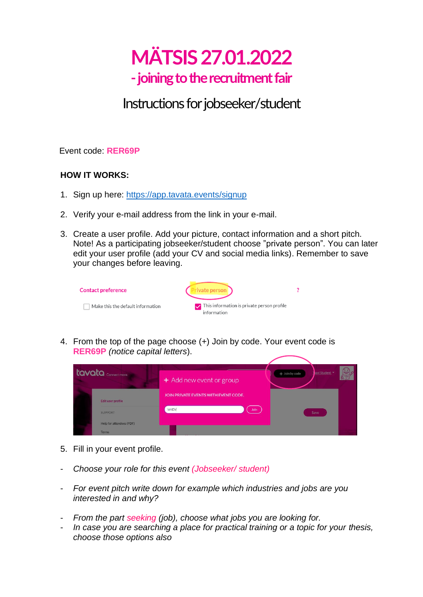# **MÄTSIS 27.01.2022 -joining to the recruitment fair**

# Instructions for jobseeker/student

Event code: **RER69P**

## **HOW IT WORKS:**

- 1. Sign up here:<https://app.tavata.events/>signup
- 2. Verify your e-mail address from the link in your e-mail.
- 3. Create a user profile. Add your picture, contact information and a short pitch. Note! As a participating jobseeker/student choose "private person". You can later edit your user profile (add your CV and social media links). Remember to save your changes before leaving.

| <b>Contact preference</b>         | Private person                                                             |  |
|-----------------------------------|----------------------------------------------------------------------------|--|
| Make this the default information | $\triangleright$ This information is private person profile<br>information |  |

4. From the top of the page choose (+) Join by code. Your event code is **RER69P** *(notice capital letters*).

| tavata Connect more.     | + Add new event or group             | aavi Student<br>+ Join by code |
|--------------------------|--------------------------------------|--------------------------------|
|                          | JOIN PRIVATE EVENTS WITH EVENT CODE. |                                |
| Edit user profile        |                                      |                                |
| <b>SUPPORT</b>           | Join<br>W4DY                         | Save                           |
| Help for attendees (PDF) |                                      |                                |
| <b>Terms</b>             |                                      |                                |

- 5. Fill in your event profile.
- *Choose your role for this event (Jobseeker/ student)*
- *For event pitch write down for example which industries and jobs are you interested in and why?*
- *From the part seeking (job), choose what jobs you are looking for.*
- *In case you are searching a place for practical training or a topic for your thesis, choose those options also*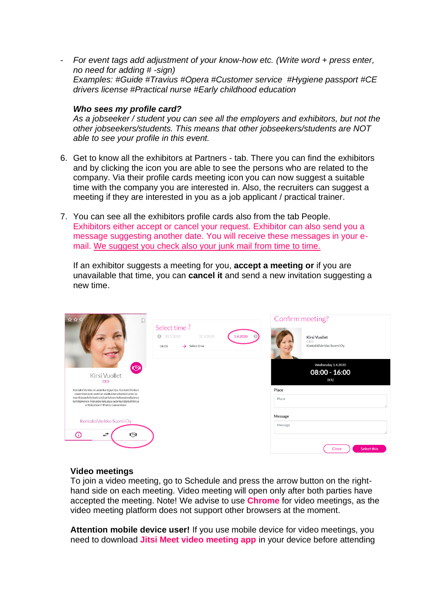- *For event tags add adjustment of your know-how etc. (Write word + press enter, no need for adding # -sign) Examples: #Guide #Travius #Opera #Customer service #Hygiene passport #CE drivers license #Practical nurse #Early childhood education*

#### *Who sees my profile card?*

*As a jobseeker / student you can see all the employers and exhibitors, but not the other jobseekers/students. This means that other jobseekers/students are NOT able to see your profile in this event.*

- 6. Get to know all the exhibitors at Partners tab. There you can find the exhibitors and by clicking the icon you are able to see the persons who are related to the company. Via their profile cards meeting icon you can now suggest a suitable time with the company you are interested in. Also, the recruiters can suggest a meeting if they are interested in you as a job applicant / practical trainer.
- 7. You can see all the exhibitors profile cards also from the tab People. Exhibitors either accept or cancel your request. Exhibitor can also send you a message suggesting another date. You will receive these messages in your email. We suggest you check also your junk mail from time to time.

If an exhibitor suggests a meeting for you, **accept a meeting or** if you are unavailable that time, you can **cancel it** and send a new invitation suggesting a new time.

| ☆☆☆<br>口                                                                                                                                                                                                                                                        | Select time?<br>1.4.2020<br>$\circ$<br>30.3.2020<br>31.3.2020<br>$\rightarrow$ Select time<br>08:00 | Confirm meeting?<br>Kirsi Vuollet<br>CEO<br>KontaktiVerkko Suomi Oy          |
|-----------------------------------------------------------------------------------------------------------------------------------------------------------------------------------------------------------------------------------------------------------------|-----------------------------------------------------------------------------------------------------|------------------------------------------------------------------------------|
| $\circ$<br>Kirsi Vuollet<br>CEO<br>KontaktiVerkko on asiantuntijayritys. KontaktiVerkon<br>osaamista ovat vaativat asiakastarvekartoitukset ja<br>markkinaselvitykset sekä yrityksen kokonaisvaltainen<br>kehittäminen. Haluatko tutustua asiantuntijatyöhön ja |                                                                                                     | Wednesday 1.4.2020<br>$08:00 - 16:00$<br>(8 <sub>h</sub> )<br>Place<br>Place |
| yrittäjyyteen? Ehdota tapaamista!<br>KontaktiVerkko Suomi Oy<br>绞<br>$\overleftrightarrow{\cdot}$                                                                                                                                                               |                                                                                                     | Message<br>Message<br><b>Select this</b><br>Close                            |

### **Video meetings**

To join a video meeting, go to Schedule and press the arrow button on the righthand side on each meeting. Video meeting will open only after both parties have accepted the meeting. Note! We advise to use **Chrome** for video meetings, as the video meeting platform does not support other browsers at the moment.

**Attention mobile device user!** If you use mobile device for video meetings, you need to download **Jitsi Meet video meeting app** in your device before attending